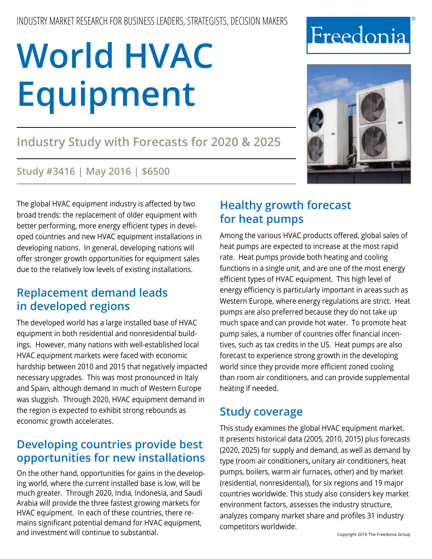# **Industry Study with Forecasts for 2020 & 2025**

#### **Study #3416 | May 2016 | \$6500**

The global HVAC equipment industry is affected by two broad trends: the replacement of older equipment with better performing, more energy efficient types in developed countries and new HVAC equipment installations in developing nations. In general, developing nations will offer stronger growth opportunities for equipment sales due to the relatively low levels of existing installations.

### **Replacement demand leads in developed regions**

The developed world has a large installed base of HVAC equipment in both residential and nonresidential buildings. However, many nations with well-established local HVAC equipment markets were faced with economic hardship between 2010 and 2015 that negatively impacted necessary upgrades. This was most pronounced in Italy and Spain, although demand in much of Western Europe was sluggish. Through 2020, HVAC equipment demand in the region is expected to exhibit strong rebounds as economic growth accelerates.

## **Developing countries provide best opportunities for new installations**

On the other hand, opportunities for gains in the developing world, where the current installed base is low, will be much greater. Through 2020, India, Indonesia, and Saudi Arabia will provide the three fastest growing markets for HVAC equipment. In each of these countries, there remains significant potential demand for HVAC equipment, and investment will continue to substantial.

### **Healthy growth forecast for heat pumps**

Among the various HVAC products offered, global sales of heat pumps are expected to increase at the most rapid rate. Heat pumps provide both heating and cooling functions in a single unit, and are one of the most energy efficient types of HVAC equipment. This high level of energy efficiency is particularly important in areas such as Western Europe, where energy regulations are strict. Heat pumps are also preferred because they do not take up much space and can provide hot water. To promote heat pump sales, a number of countries offer financial incentives, such as tax credits in the US. Heat pumps are also forecast to experience strong growth in the developing world since they provide more efficient zoned cooling than room air conditioners, and can provide supplemental heating if needed.

## **Study coverage**

This study examines the global HVAC equipment market. It presents historical data (2005, 2010, 2015) plus forecasts (2020, 2025) for supply and demand, as well as demand by type (room air conditioners, unitary air conditioners, heat pumps, boilers, warm air furnaces, other) and by market (residential, nonresidential), for six regions and 19 major countries worldwide. This study also considers key market environment factors, assesses the industry structure, analyzes company market share and profiles 31 industry competitors worldwide.



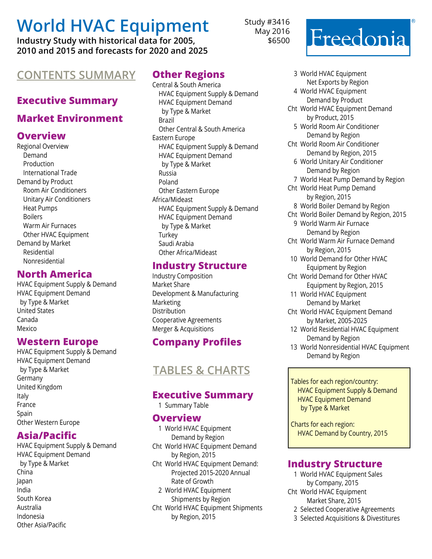**Industry Study with historical data for 2005, 2010 and 2015 and forecasts for 2020 and 2025**

## **Contents Summary Other Regions**

#### **Executive Summary**

#### **Market Environment**

#### **Overview**

Regional Overview Demand Production International Trade Demand by Product Room Air Conditioners Unitary Air Conditioners Heat Pumps Boilers Warm Air Furnaces Other HVAC Equipment Demand by Market Residential Nonresidential

#### **North America**

HVAC Equipment Supply & Demand HVAC Equipment Demand by Type & Market United States Canada Mexico

#### **Western Europe**

HVAC Equipment Supply & Demand HVAC Equipment Demand by Type & Market Germany United Kingdom Italy France **Spain** Other Western Europe

#### **Asia/Pacific**

HVAC Equipment Supply & Demand HVAC Equipment Demand by Type & Market China Japan India South Korea Australia Indonesia Other Asia/Pacific

Central & South America HVAC Equipment Supply & Demand HVAC Equipment Demand by Type & Market Brazil Other Central & South America Eastern Europe HVAC Equipment Supply & Demand HVAC Equipment Demand by Type & Market Russia Poland Other Eastern Europe Africa/Mideast HVAC Equipment Supply & Demand HVAC Equipment Demand by Type & Market **Turkey** Saudi Arabia Other Africa/Mideast

#### **Industry Structure**

Industry Composition Market Share Development & Manufacturing Marketing Distribution Cooperative Agreements Merger & Acquisitions

#### **Company Profiles**

## **Tables & Charts**

#### **Executive Summary**

1 Summary Table

#### **Overview**

1 World HVAC Equipment Demand by Region Cht World HVAC Equipment Demand by Region, 2015 Cht World HVAC Equipment Demand: Projected 2015-2020 Annual Rate of Growth 2 World HVAC Equipment Shipments by Region

Cht World HVAC Equipment Shipments by Region, 2015

Study #3416 May 2016 \$6500

# Freedonia

- 3 World HVAC Equipment Net Exports by Region
- 4 World HVAC Equipment Demand by Product
- Cht World HVAC Equipment Demand by Product, 2015
	- 5 World Room Air Conditioner Demand by Region
- Cht World Room Air Conditioner Demand by Region, 2015
	- 6 World Unitary Air Conditioner Demand by Region
- 7 World Heat Pump Demand by Region
- Cht World Heat Pump Demand by Region, 2015
- 8 World Boiler Demand by Region
- Cht World Boiler Demand by Region, 2015
	- 9 World Warm Air Furnace Demand by Region
- Cht World Warm Air Furnace Demand by Region, 2015
- 10 World Demand for Other HVAC Equipment by Region
- Cht World Demand for Other HVAC Equipment by Region, 2015
- 11 World HVAC Equipment Demand by Market
- Cht World HVAC Equipment Demand by Market, 2005-2025
- 12 World Residential HVAC Equipment Demand by Region
- 13 World Nonresidential HVAC Equipment Demand by Region

 Tables for each region/country: HVAC Equipment Supply & Demand HVAC Equipment Demand by Type & Market

 Charts for each region: HVAC Demand by Country, 2015

#### **Industry Structure**

- 1 World HVAC Equipment Sales by Company, 2015
- Cht World HVAC Equipment Market Share, 2015
	- 2 Selected Cooperative Agreements
	- 3 Selected Acquisitions & Divestitures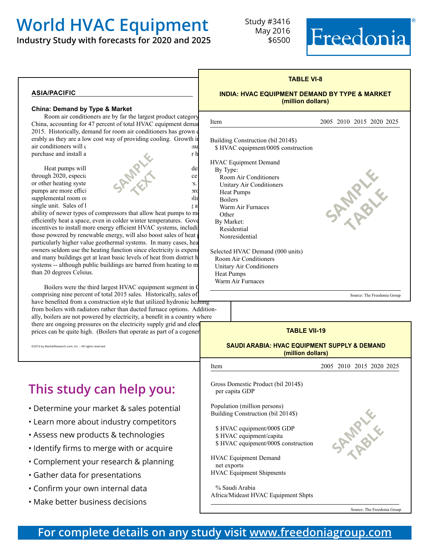**Industry Study with forecasts for 2020 and 2025**

Study #3416 May 2016 \$6500



**SAMPLE** 

**table** 

#### **asia/pacific**

#### **China: Demand by Type & Market**

Room air conditioners are by far the largest product category China, accounting for 47 percent of total HVAC equipment demand item 2015. Historically, demand for room air conditioners has grown of erably as they are a low cost way of providing cooling. Growth in  $\alpha$  air conditioners will  $\alpha$ purchase and install a ditional units to cool more rooms in the rooms in the rooms in the rooms in the rooms in the rooms in the rooms in the rooms in the rooms in the rooms in the rooms in the rooms in the rooms in the ro

supplemental room or



ability of newer types of compressors that allow heat pumps to mo efficiently heat a space, even in colder winter temperatures. Gove incentives to install more energy efficient HVAC systems, including those powered by renewable energy, will also boost sales of heat particularly higher value geothermal systems. In many cases, hea owners seldom use the heating function since electricity is expensed and many buildings get at least basic levels of heat from district h systems -- although public buildings are barred from heating to m than 20 degrees Celsius.

Boilers were the third largest HVAC equipment segment in C comprising nine percent of total 2015 sales. Historically, sales of have benefited from a construction style that utilized hydronic heating from boilers with radiators rather than ducted furnace options. Additionally, boilers are not powered by electricity, a benefit in a country where there are ongoing pressures on the electricity supply grid and electricity prices can be quite high. (Boilers that operate as part of a cogener

©2016 by MarketResearch.com, Inc. – All rights reserved

## **This study can help you:**

- Determine your market & sales potential
- Learn more about industry competitors
- Assess new products & technologies
- Identify firms to merge with or acquire
- Complement your research & planning
- Gather data for presentations
- Confirm your own internal data
- Make better business decisions

## **TABLE VI-8 INDIA: HVAC EQUIPMENT DEMAND BY TYPE & MARKET (million dollars)** 2005 2010 2015 2020 2025

Building Construction (bil 2014\$) \$ HVAC equipment/000\$ construction

HVAC Equipment Demand By Type: Room Air Conditioners Unitary Air Conditioners Heat Pumps Boilers Warm Air Furnaces **Other**  By Market: Residential Nonresidential

j

Selected HVAC Demand (000 units) Room Air Conditioners Unitary Air Conditioners Heat Pumps Warm Air Furnaces

Source: The Freedonia Group

#### **TABLE VII-19**

#### **SAUDI ARABIA: HVAC EQUIPMENT SUPPLY & DEMAND (million dollars)**

Item 2005 2010 2015 2020 2025 Gross Domestic Product (bil 2014\$)

 per capita GDP Population (million persons)

Building Construction (bil 2014\$)

 \$ HVAC equipment/000\$ GDP \$ HVAC equipment/capita \$ HVAC equipment/000\$ construction

HVAC Equipment Demand net exports HVAC Equipment Shipments

 % Saudi Arabia Africa/Mideast HVAC Equipment Shpts **SPARALE table** 

Source: The Freedonia Group

**For complete details on any study visit [www.freedoniagroup.com](http://www.freedoniagroup.com/Home.aspx?ReferrerId=FM-BRO)**